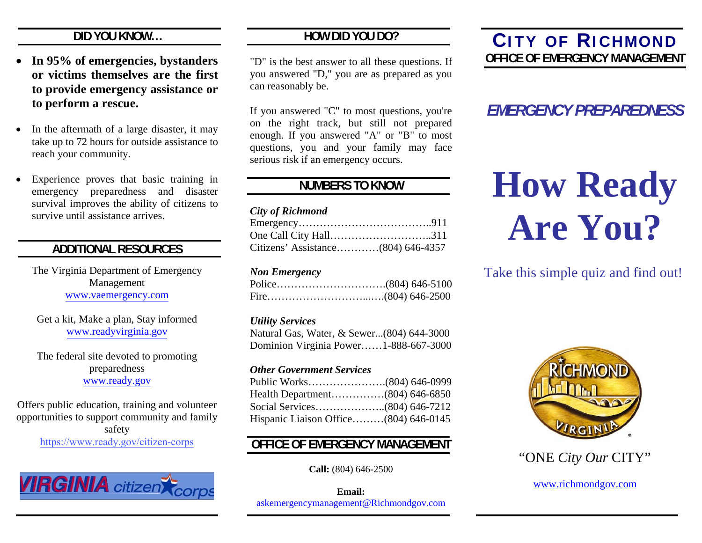# **DID YOU KNOW…**

- $\bullet$  **In 95% of emergencies, bystanders or victims themselves are the firstto provide emergency assistance or to perform a rescue.**
- . In the aftermath of a large disaster, it may take up to 72 hours for outside assistance to reach your community.
- 0 Experience proves that basic training in emergency preparedness and disaster survival improves the ability of citizens to survive until assistance arrives.

# **ADDITIONAL RESOURCES**

The Virginia Department of Emergency Management www.vaemergency.com

Get a kit, Make a plan, Stay informed www.readyvirginia.gov

The federal site devoted to promoting preparedness www.ready.gov

Offers public education, training and volunteer opportunities to support community and family safety https://www.ready.gov/citizen-corps



# **HOW DID YOU DO?**

"D" is the best answer to all these questions. If you answered "D," you are as prepared as you can reasonably be.

If you answered "C" to most questions, you're on the right track, but still not prepared enough. If you answered "A" or "B" to most questions, you and your family may face serious risk if an emergency occurs.

# **NUMBERS TO KNOW**

#### *City of Richmond*

| One Call City Hall311              |  |
|------------------------------------|--|
| Citizens' Assistance(804) 646-4357 |  |

#### *Non Emergency*

## *Utility Services*

Natural Gas, Water, & Sewer...(804) 644-3000 Dominion Virginia Power……1-888-667-3000

## *Other Government Services*

| Hispanic Liaison Office(804) 646-0145 |  |
|---------------------------------------|--|

# **OFFICE OF EMERGENCY MANAGEMENT**

**Call:** (804) 646-2500

**Email:** askemergencymanagement@Richmondgov.com

# **C ITY OF R ICHMOND OFFICE OF EMERGENCY MANAGEMENT**

# *EMERGENCY PREPAREDNESS*

# **How Ready Are You?**

# Take this simple quiz and find out!





www.richmondgov.com